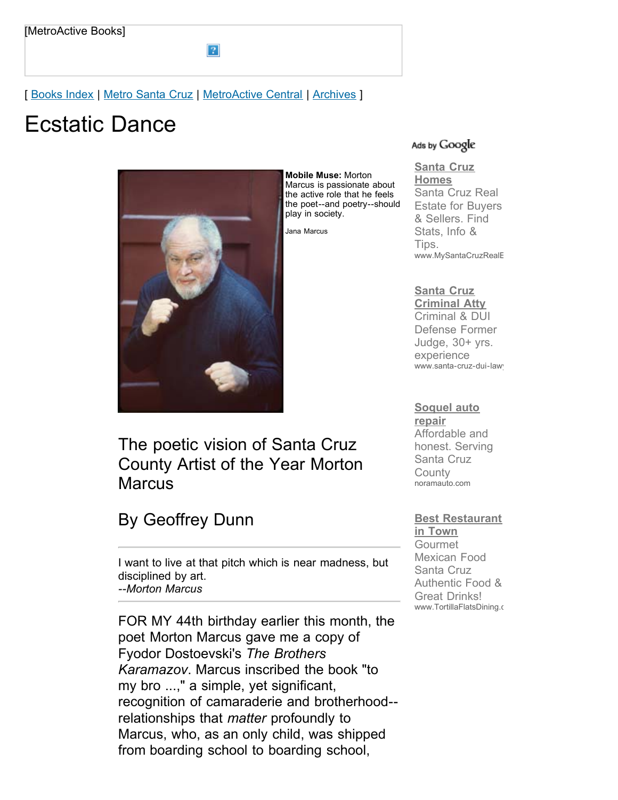[ [Books Index](http://metroactive.com/books/) | [Metro Santa Cruz](http://www.metroactive.com/papers/cruz/04.21.99/index.html) | [MetroActive Central](http://metroactive.com/) | [Archives](http://metroactive.com/papers/cruz/archives.html) ]

 $\overline{?}$ 

# Ecstatic Dance



The poetic vision of Santa Cruz County Artist of the Year Morton **Marcus** 

# By Geoffrey Dunn

I want to live at that pitch which is near madness, but disciplined by art. *--Morton Marcus*

FOR MY 44th birthday earlier this month, the poet Morton Marcus gave me a copy of Fyodor Dostoevski's *The Brothers Karamazov*. Marcus inscribed the book "to my bro ...," a simple, yet significant, recognition of camaraderie and brotherhood- relationships that *matter* profoundly to Marcus, who, as an only child, was shipped from boarding school to boarding school,

#### Ads by Google

#### **[Santa Cruz](http://googleads.g.doubleclick.net/aclk?sa=l&ai=BzUAs49q4S6roOKCAjgSi65zMDta5uKYBus7ctBPAjbcBgNRhEAEYASD2jr0JKAQ4AFCcm6LZ_P____8BYMmW1YbIo_QZoAGY-PD-A7IBE3d3dy5tZXRyb2FjdGl2ZS5jb226AQoxMjB4NjAwX2FzyAEB2gFAaHR0cDovL3d3dy5tZXRyb2FjdGl2ZS5jb20vcGFwZXJzL2NydXovMDQuMjEuOTkvbWFyY3VzLTk5MTYuaHRtbIACAagDAcgDB-gDtQToA4UG6AMW9QMAAADE&num=1&sig=AGiWqtxB426HO1JRQGaU2v7de8c2NJTvzQ&client=ca-pub-0074378341047059&adurl=http://www.mysantacruzrealestate.com) Homes**

Santa Cruz Real Estate for Buyers & Sellers. Find Stats, Info & Tips. www.MySantaCruzRealE

#### **Santa Cruz**

**[Criminal Atty](http://googleads.g.doubleclick.net/aclk?sa=l&ai=Bwn1b49q4S6roOKCAjgSi65zMDp6W5psBpsyXmQHAjbcBkIaSAhACGAIg9o69CSgEOABQ6NnGF2DJltWGyKP0GbIBE3d3dy5tZXRyb2FjdGl2ZS5jb226AQoxMjB4NjAwX2FzyAEB2gFAaHR0cDovL3d3dy5tZXRyb2FjdGl2ZS5jb20vcGFwZXJzL2NydXovMDQuMjEuOTkvbWFyY3VzLTk5MTYuaHRtbKgDAcgDB-gDtQToA4UG6AMW9QMAAADE&num=2&sig=AGiWqtzxSrxkfkrl7x7r53kFCc3I6jfjjg&client=ca-pub-0074378341047059&adurl=http://www.santa-cruz-dui-lawyer.com&nm=1)** Criminal & DUI Defense Former Judge, 30+ yrs. experience www.santa-cruz-dui-lawy

#### **[Soquel auto](http://googleads.g.doubleclick.net/aclk?sa=l&ai=BuU7f49q4S6roOKCAjgSi65zMDteAyS6X6pfeCsCNtwGggLEBEAMYAyD2jr0JKAQ4AFCh8OuhAmDJltWGyKP0GbIBE3d3dy5tZXRyb2FjdGl2ZS5jb226AQoxMjB4NjAwX2FzyAEB2gFAaHR0cDovL3d3dy5tZXRyb2FjdGl2ZS5jb20vcGFwZXJzL2NydXovMDQuMjEuOTkvbWFyY3VzLTk5MTYuaHRtbIACAagDAcgDB-gDtQToA4UG6AMW9QMAAADE&num=3&sig=AGiWqtz_PIfn0-8qKJONmVdDtWIB7sLf4Q&client=ca-pub-0074378341047059&adurl=http://www.noramauto.com&nm=4)**

**repair** Affordable and honest. Serving Santa Cruz **County** noramauto.com

#### **[Best Restaurant](http://googleads.g.doubleclick.net/aclk?sa=l&ai=B6_CH49q4S6roOKCAjgSi65zMDq7frHuw4NCMCMCNtwGw3FkQBBgEIPaOvQkoBDgAUJPB4Iz-_____wFgyZbVhsij9BmyARN3d3cubWV0cm9hY3RpdmUuY29tugEKMTIweDYwMF9hc8gBAdoBQGh0dHA6Ly93d3cubWV0cm9hY3RpdmUuY29tL3BhcGVycy9jcnV6LzA0LjIxLjk5L21hcmN1cy05OTE2Lmh0bWyoAwHIAwfoA7UE6AOFBugDFvUDAAAAxA&num=4&sig=AGiWqtySXut4Jj03znDCrqasD7KUxUlrPg&client=ca-pub-0074378341047059&adurl=http://www.tortillaflatsdining.com)**

**in Town** Gourmet Mexican Food Santa Cruz Authentic Food & Great Drinks! www.TortillaFlatsDining.c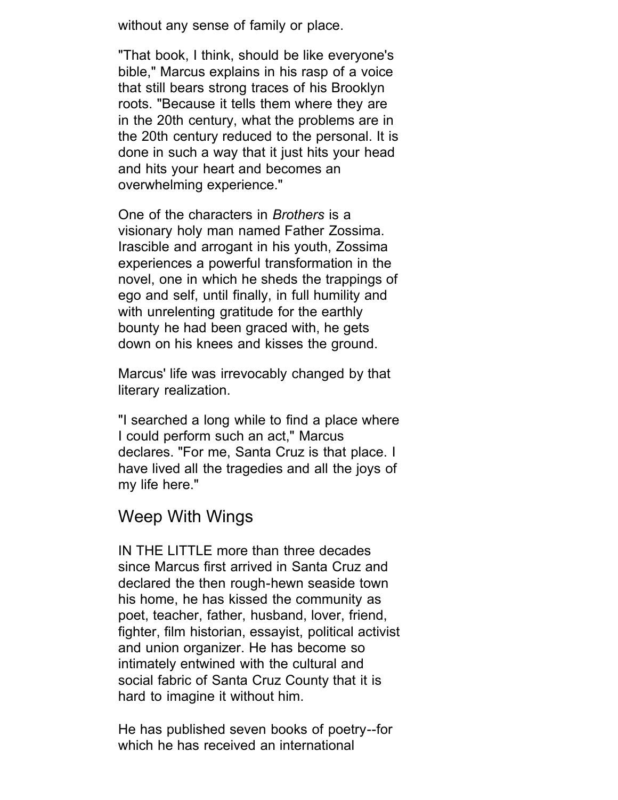without any sense of family or place.

"That book, I think, should be like everyone's bible," Marcus explains in his rasp of a voice that still bears strong traces of his Brooklyn roots. "Because it tells them where they are in the 20th century, what the problems are in the 20th century reduced to the personal. It is done in such a way that it just hits your head and hits your heart and becomes an overwhelming experience."

One of the characters in *Brothers* is a visionary holy man named Father Zossima. Irascible and arrogant in his youth, Zossima experiences a powerful transformation in the novel, one in which he sheds the trappings of ego and self, until finally, in full humility and with unrelenting gratitude for the earthly bounty he had been graced with, he gets down on his knees and kisses the ground.

Marcus' life was irrevocably changed by that literary realization.

"I searched a long while to find a place where I could perform such an act," Marcus declares. "For me, Santa Cruz is that place. I have lived all the tragedies and all the joys of my life here."

## Weep With Wings

IN THE LITTLE more than three decades since Marcus first arrived in Santa Cruz and declared the then rough-hewn seaside town his home, he has kissed the community as poet, teacher, father, husband, lover, friend, fighter, film historian, essayist, political activist and union organizer. He has become so intimately entwined with the cultural and social fabric of Santa Cruz County that it is hard to imagine it without him.

He has published seven books of poetry--for which he has received an international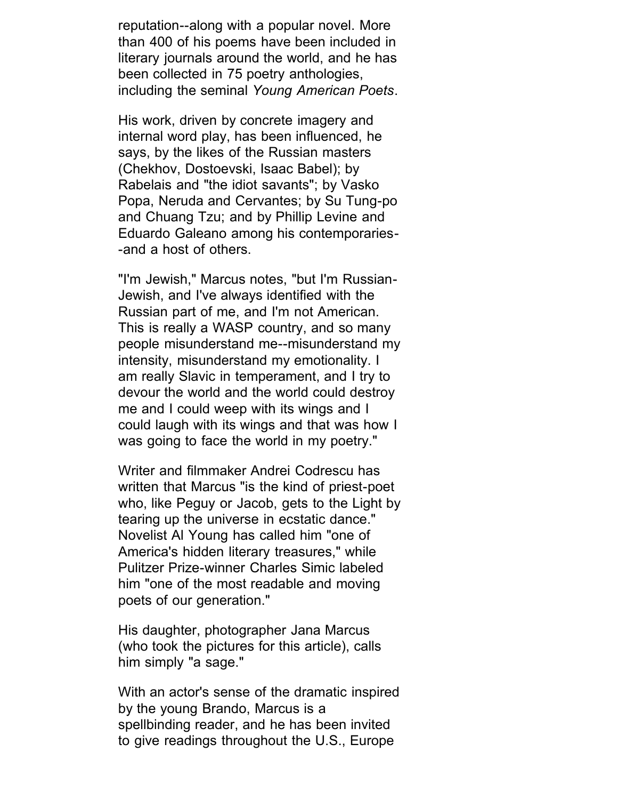reputation--along with a popular novel. More than 400 of his poems have been included in literary journals around the world, and he has been collected in 75 poetry anthologies, including the seminal *Young American Poets*.

His work, driven by concrete imagery and internal word play, has been influenced, he says, by the likes of the Russian masters (Chekhov, Dostoevski, Isaac Babel); by Rabelais and "the idiot savants"; by Vasko Popa, Neruda and Cervantes; by Su Tung-po and Chuang Tzu; and by Phillip Levine and Eduardo Galeano among his contemporaries- -and a host of others.

"I'm Jewish," Marcus notes, "but I'm Russian-Jewish, and I've always identified with the Russian part of me, and I'm not American. This is really a WASP country, and so many people misunderstand me--misunderstand my intensity, misunderstand my emotionality. I am really Slavic in temperament, and I try to devour the world and the world could destroy me and I could weep with its wings and I could laugh with its wings and that was how I was going to face the world in my poetry."

Writer and filmmaker Andrei Codrescu has written that Marcus "is the kind of priest-poet who, like Peguy or Jacob, gets to the Light by tearing up the universe in ecstatic dance." Novelist Al Young has called him "one of America's hidden literary treasures," while Pulitzer Prize-winner Charles Simic labeled him "one of the most readable and moving poets of our generation."

His daughter, photographer Jana Marcus (who took the pictures for this article), calls him simply "a sage."

With an actor's sense of the dramatic inspired by the young Brando, Marcus is a spellbinding reader, and he has been invited to give readings throughout the U.S., Europe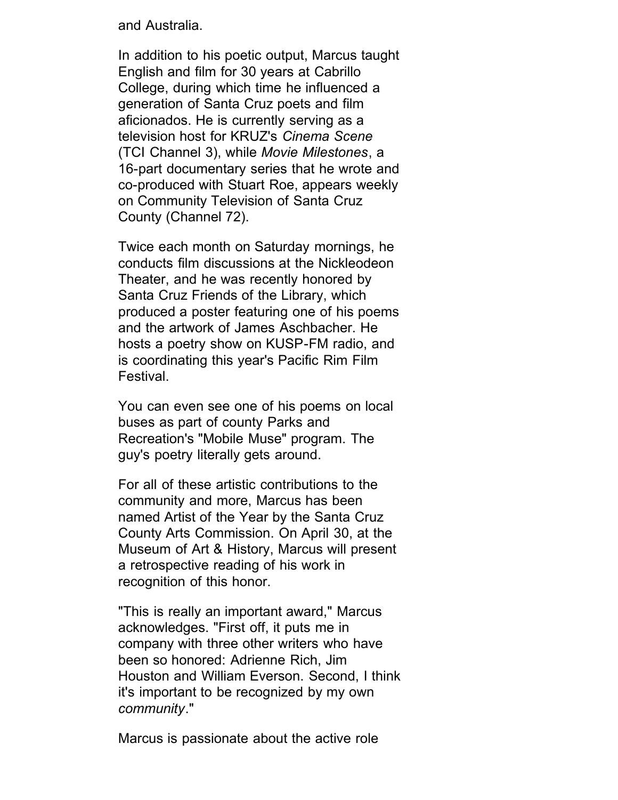and Australia.

In addition to his poetic output, Marcus taught English and film for 30 years at Cabrillo College, during which time he influenced a generation of Santa Cruz poets and film aficionados. He is currently serving as a television host for KRUZ's *Cinema Scene* (TCI Channel 3), while *Movie Milestones*, a 16-part documentary series that he wrote and co-produced with Stuart Roe, appears weekly on Community Television of Santa Cruz County (Channel 72).

Twice each month on Saturday mornings, he conducts film discussions at the Nickleodeon Theater, and he was recently honored by Santa Cruz Friends of the Library, which produced a poster featuring one of his poems and the artwork of James Aschbacher. He hosts a poetry show on KUSP-FM radio, and is coordinating this year's Pacific Rim Film Festival.

You can even see one of his poems on local buses as part of county Parks and Recreation's "Mobile Muse" program. The guy's poetry literally gets around.

For all of these artistic contributions to the community and more, Marcus has been named Artist of the Year by the Santa Cruz County Arts Commission. On April 30, at the Museum of Art & History, Marcus will present a retrospective reading of his work in recognition of this honor.

"This is really an important award," Marcus acknowledges. "First off, it puts me in company with three other writers who have been so honored: Adrienne Rich, Jim Houston and William Everson. Second, I think it's important to be recognized by my own *community*."

Marcus is passionate about the active role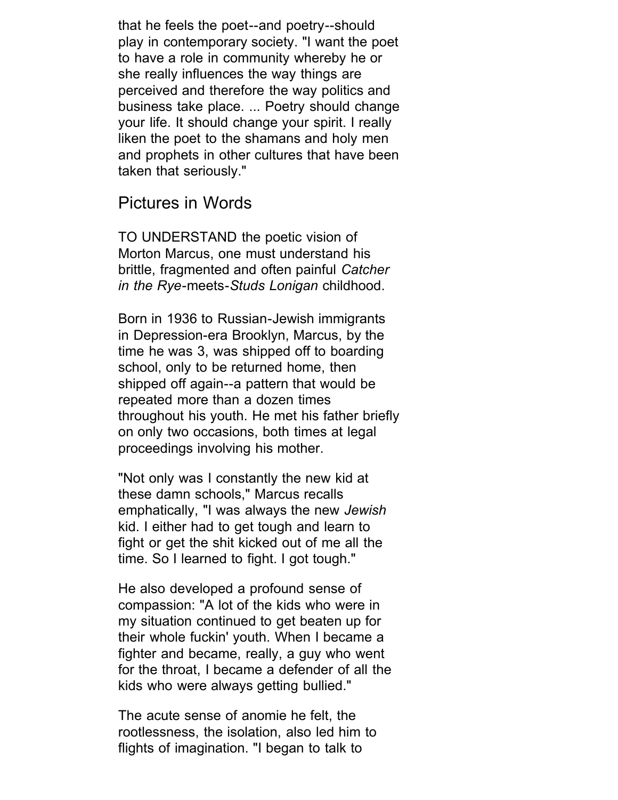that he feels the poet--and poetry--should play in contemporary society. "I want the poet to have a role in community whereby he or she really influences the way things are perceived and therefore the way politics and business take place. ... Poetry should change your life. It should change your spirit. I really liken the poet to the shamans and holy men and prophets in other cultures that have been taken that seriously."

### Pictures in Words

TO UNDERSTAND the poetic vision of Morton Marcus, one must understand his brittle, fragmented and often painful *Catcher in the Rye*-meets-*Studs Lonigan* childhood.

Born in 1936 to Russian-Jewish immigrants in Depression-era Brooklyn, Marcus, by the time he was 3, was shipped off to boarding school, only to be returned home, then shipped off again--a pattern that would be repeated more than a dozen times throughout his youth. He met his father briefly on only two occasions, both times at legal proceedings involving his mother.

"Not only was I constantly the new kid at these damn schools," Marcus recalls emphatically, "I was always the new *Jewish* kid. I either had to get tough and learn to fight or get the shit kicked out of me all the time. So I learned to fight. I got tough."

He also developed a profound sense of compassion: "A lot of the kids who were in my situation continued to get beaten up for their whole fuckin' youth. When I became a fighter and became, really, a guy who went for the throat, I became a defender of all the kids who were always getting bullied."

The acute sense of anomie he felt, the rootlessness, the isolation, also led him to flights of imagination. "I began to talk to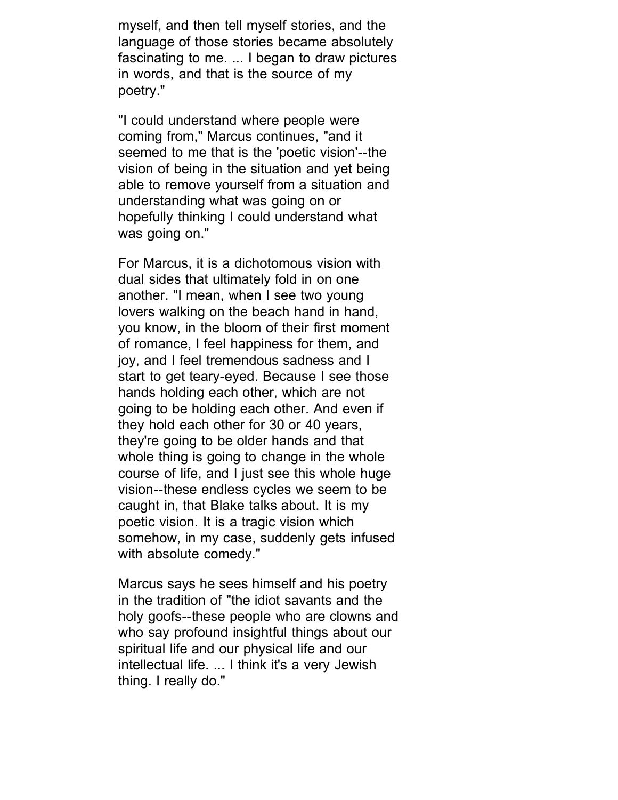myself, and then tell myself stories, and the language of those stories became absolutely fascinating to me. ... I began to draw pictures in words, and that is the source of my poetry."

"I could understand where people were coming from," Marcus continues, "and it seemed to me that is the 'poetic vision'--the vision of being in the situation and yet being able to remove yourself from a situation and understanding what was going on or hopefully thinking I could understand what was going on."

For Marcus, it is a dichotomous vision with dual sides that ultimately fold in on one another. "I mean, when I see two young lovers walking on the beach hand in hand, you know, in the bloom of their first moment of romance, I feel happiness for them, and joy, and I feel tremendous sadness and I start to get teary-eyed. Because I see those hands holding each other, which are not going to be holding each other. And even if they hold each other for 30 or 40 years, they're going to be older hands and that whole thing is going to change in the whole course of life, and I just see this whole huge vision--these endless cycles we seem to be caught in, that Blake talks about. It is my poetic vision. It is a tragic vision which somehow, in my case, suddenly gets infused with absolute comedy."

Marcus says he sees himself and his poetry in the tradition of "the idiot savants and the holy goofs--these people who are clowns and who say profound insightful things about our spiritual life and our physical life and our intellectual life. ... I think it's a very Jewish thing. I really do."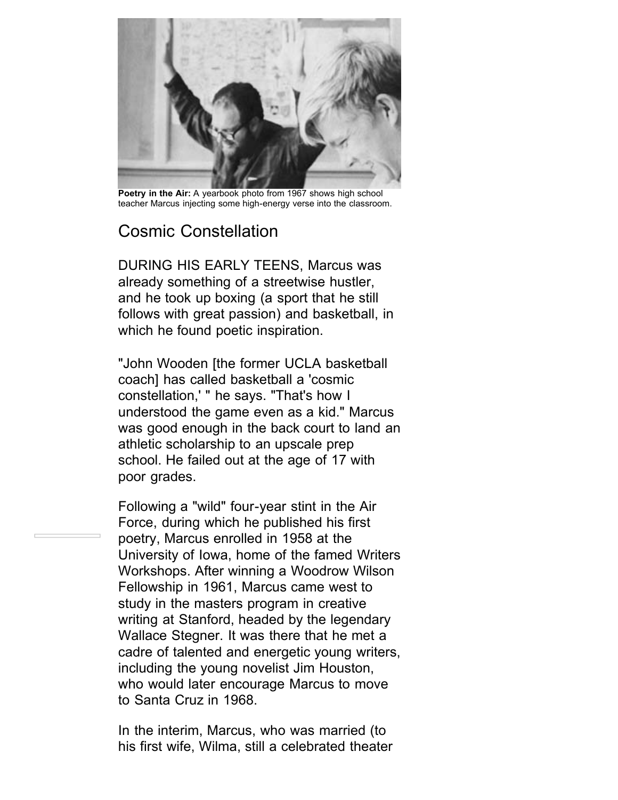

**Poetry in the Air:** A yearbook photo from 1967 shows high school teacher Marcus injecting some high-energy verse into the classroom.

# Cosmic Constellation

DURING HIS EARLY TEENS, Marcus was already something of a streetwise hustler, and he took up boxing (a sport that he still follows with great passion) and basketball, in which he found poetic inspiration.

"John Wooden [the former UCLA basketball coach] has called basketball a 'cosmic constellation,' " he says. "That's how I understood the game even as a kid." Marcus was good enough in the back court to land an athletic scholarship to an upscale prep school. He failed out at the age of 17 with poor grades.

Following a "wild" four-year stint in the Air Force, during which he published his first poetry, Marcus enrolled in 1958 at the University of Iowa, home of the famed Writers Workshops. After winning a Woodrow Wilson Fellowship in 1961, Marcus came west to study in the masters program in creative writing at Stanford, headed by the legendary Wallace Stegner. It was there that he met a cadre of talented and energetic young writers, including the young novelist Jim Houston, who would later encourage Marcus to move to Santa Cruz in 1968.

In the interim, Marcus, who was married (to his first wife, Wilma, still a celebrated theater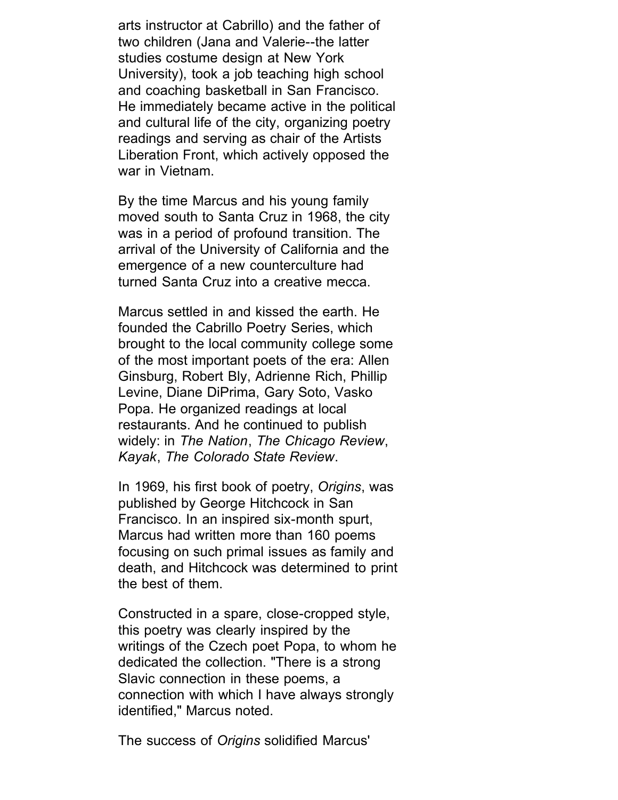arts instructor at Cabrillo) and the father of two children (Jana and Valerie--the latter studies costume design at New York University), took a job teaching high school and coaching basketball in San Francisco. He immediately became active in the political and cultural life of the city, organizing poetry readings and serving as chair of the Artists Liberation Front, which actively opposed the war in Vietnam.

By the time Marcus and his young family moved south to Santa Cruz in 1968, the city was in a period of profound transition. The arrival of the University of California and the emergence of a new counterculture had turned Santa Cruz into a creative mecca.

Marcus settled in and kissed the earth. He founded the Cabrillo Poetry Series, which brought to the local community college some of the most important poets of the era: Allen Ginsburg, Robert Bly, Adrienne Rich, Phillip Levine, Diane DiPrima, Gary Soto, Vasko Popa. He organized readings at local restaurants. And he continued to publish widely: in *The Nation*, *The Chicago Review*, *Kayak*, *The Colorado State Review*.

In 1969, his first book of poetry, *Origins*, was published by George Hitchcock in San Francisco. In an inspired six-month spurt, Marcus had written more than 160 poems focusing on such primal issues as family and death, and Hitchcock was determined to print the best of them.

Constructed in a spare, close-cropped style, this poetry was clearly inspired by the writings of the Czech poet Popa, to whom he dedicated the collection. "There is a strong Slavic connection in these poems, a connection with which I have always strongly identified," Marcus noted.

The success of *Origins* solidified Marcus'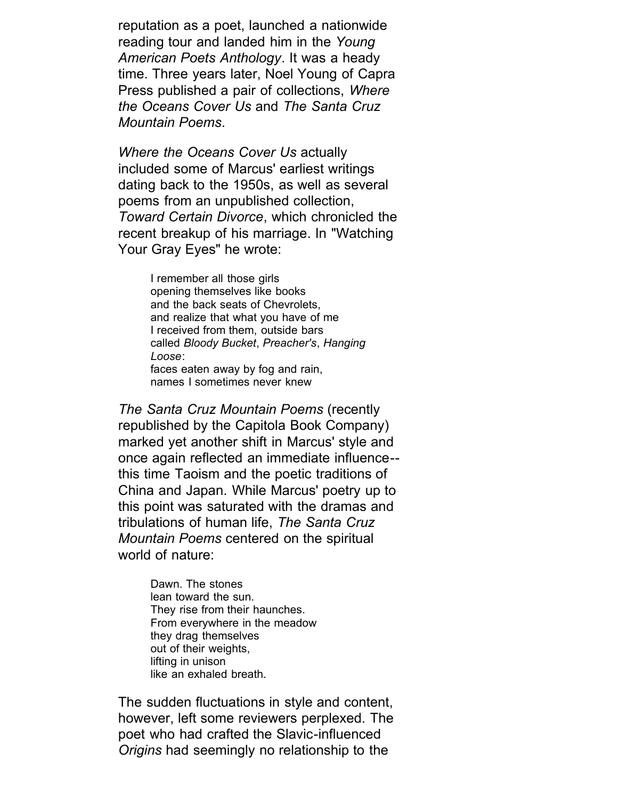reputation as a poet, launched a nationwide reading tour and landed him in the *Young American Poets Anthology*. It was a heady time. Three years later, Noel Young of Capra Press published a pair of collections, *Where the Oceans Cover Us* and *The Santa Cruz Mountain Poems*.

*Where the Oceans Cover Us* actually included some of Marcus' earliest writings dating back to the 1950s, as well as several poems from an unpublished collection, *Toward Certain Divorce*, which chronicled the recent breakup of his marriage. In "Watching Your Gray Eyes" he wrote:

> I remember all those girls opening themselves like books and the back seats of Chevrolets, and realize that what you have of me I received from them, outside bars called *Bloody Bucket*, *Preacher's*, *Hanging Loose*: faces eaten away by fog and rain, names I sometimes never knew

*The Santa Cruz Mountain Poems* (recently republished by the Capitola Book Company) marked yet another shift in Marcus' style and once again reflected an immediate influence- this time Taoism and the poetic traditions of China and Japan. While Marcus' poetry up to this point was saturated with the dramas and tribulations of human life, *The Santa Cruz Mountain Poems* centered on the spiritual world of nature:

> Dawn. The stones lean toward the sun. They rise from their haunches. From everywhere in the meadow they drag themselves out of their weights, lifting in unison like an exhaled breath.

The sudden fluctuations in style and content, however, left some reviewers perplexed. The poet who had crafted the Slavic-influenced *Origins* had seemingly no relationship to the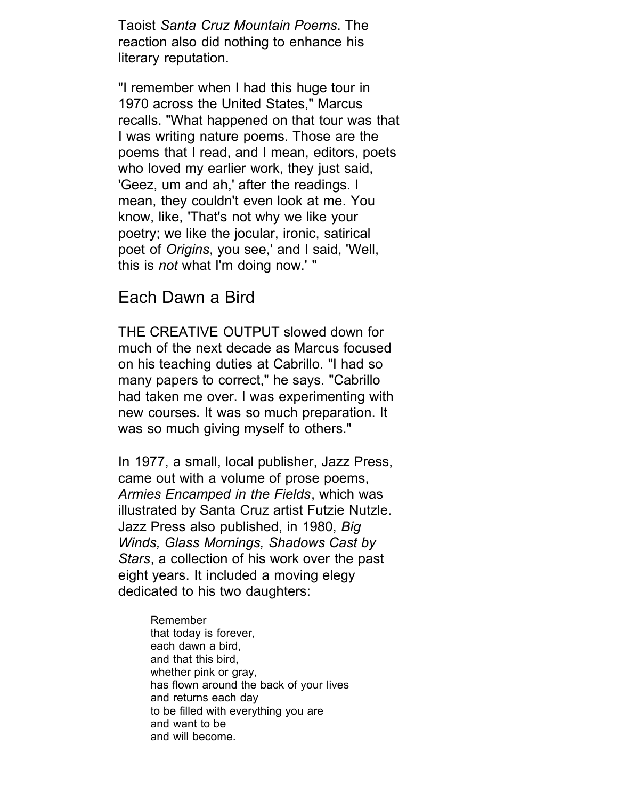Taoist *Santa Cruz Mountain Poems*. The reaction also did nothing to enhance his literary reputation.

"I remember when I had this huge tour in 1970 across the United States," Marcus recalls. "What happened on that tour was that I was writing nature poems. Those are the poems that I read, and I mean, editors, poets who loved my earlier work, they just said, 'Geez, um and ah,' after the readings. I mean, they couldn't even look at me. You know, like, 'That's not why we like your poetry; we like the jocular, ironic, satirical poet of *Origins*, you see,' and I said, 'Well, this is *not* what I'm doing now.' "

### Each Dawn a Bird

THE CREATIVE OUTPUT slowed down for much of the next decade as Marcus focused on his teaching duties at Cabrillo. "I had so many papers to correct," he says. "Cabrillo had taken me over. I was experimenting with new courses. It was so much preparation. It was so much giving myself to others."

In 1977, a small, local publisher, Jazz Press, came out with a volume of prose poems, *Armies Encamped in the Fields*, which was illustrated by Santa Cruz artist Futzie Nutzle. Jazz Press also published, in 1980, *Big Winds, Glass Mornings, Shadows Cast by Stars*, a collection of his work over the past eight years. It included a moving elegy dedicated to his two daughters:

> Remember that today is forever, each dawn a bird, and that this bird, whether pink or gray, has flown around the back of your lives and returns each day to be filled with everything you are and want to be and will become.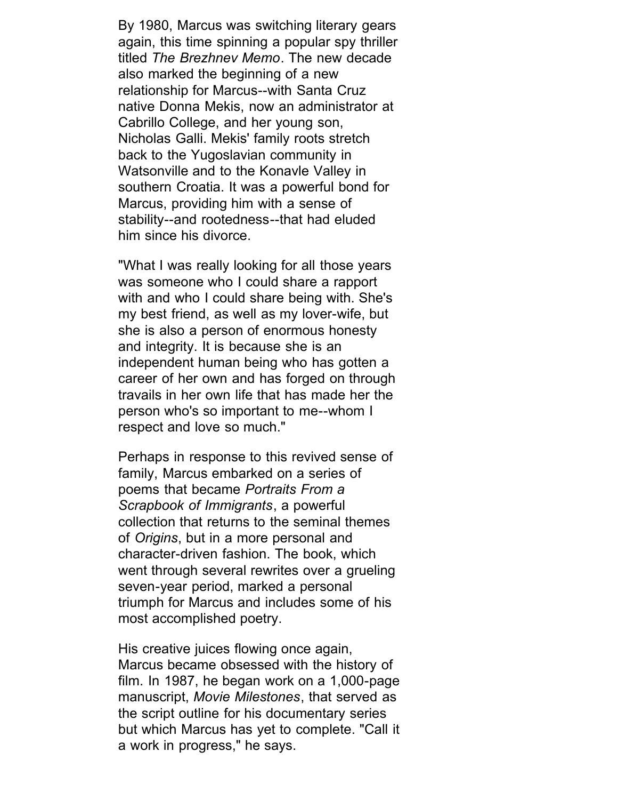By 1980, Marcus was switching literary gears again, this time spinning a popular spy thriller titled *The Brezhnev Memo*. The new decade also marked the beginning of a new relationship for Marcus--with Santa Cruz native Donna Mekis, now an administrator at Cabrillo College, and her young son, Nicholas Galli. Mekis' family roots stretch back to the Yugoslavian community in Watsonville and to the Konavle Valley in southern Croatia. It was a powerful bond for Marcus, providing him with a sense of stability--and rootedness--that had eluded him since his divorce.

"What I was really looking for all those years was someone who I could share a rapport with and who I could share being with. She's my best friend, as well as my lover-wife, but she is also a person of enormous honesty and integrity. It is because she is an independent human being who has gotten a career of her own and has forged on through travails in her own life that has made her the person who's so important to me--whom I respect and love so much."

Perhaps in response to this revived sense of family, Marcus embarked on a series of poems that became *Portraits From a Scrapbook of Immigrants*, a powerful collection that returns to the seminal themes of *Origins*, but in a more personal and character-driven fashion. The book, which went through several rewrites over a grueling seven-year period, marked a personal triumph for Marcus and includes some of his most accomplished poetry.

His creative juices flowing once again, Marcus became obsessed with the history of film. In 1987, he began work on a 1,000-page manuscript, *Movie Milestones*, that served as the script outline for his documentary series but which Marcus has yet to complete. "Call it a work in progress," he says.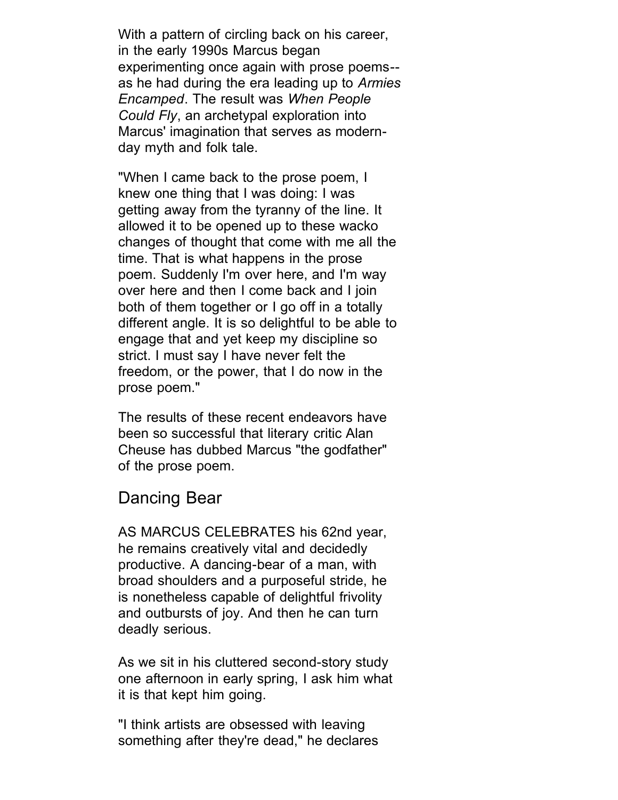With a pattern of circling back on his career, in the early 1990s Marcus began experimenting once again with prose poems- as he had during the era leading up to *Armies Encamped*. The result was *When People Could Fly*, an archetypal exploration into Marcus' imagination that serves as modernday myth and folk tale.

"When I came back to the prose poem, I knew one thing that I was doing: I was getting away from the tyranny of the line. It allowed it to be opened up to these wacko changes of thought that come with me all the time. That is what happens in the prose poem. Suddenly I'm over here, and I'm way over here and then I come back and I join both of them together or I go off in a totally different angle. It is so delightful to be able to engage that and yet keep my discipline so strict. I must say I have never felt the freedom, or the power, that I do now in the prose poem."

The results of these recent endeavors have been so successful that literary critic Alan Cheuse has dubbed Marcus "the godfather" of the prose poem.

### Dancing Bear

AS MARCUS CELEBRATES his 62nd year, he remains creatively vital and decidedly productive. A dancing-bear of a man, with broad shoulders and a purposeful stride, he is nonetheless capable of delightful frivolity and outbursts of joy. And then he can turn deadly serious.

As we sit in his cluttered second-story study one afternoon in early spring, I ask him what it is that kept him going.

"I think artists are obsessed with leaving something after they're dead," he declares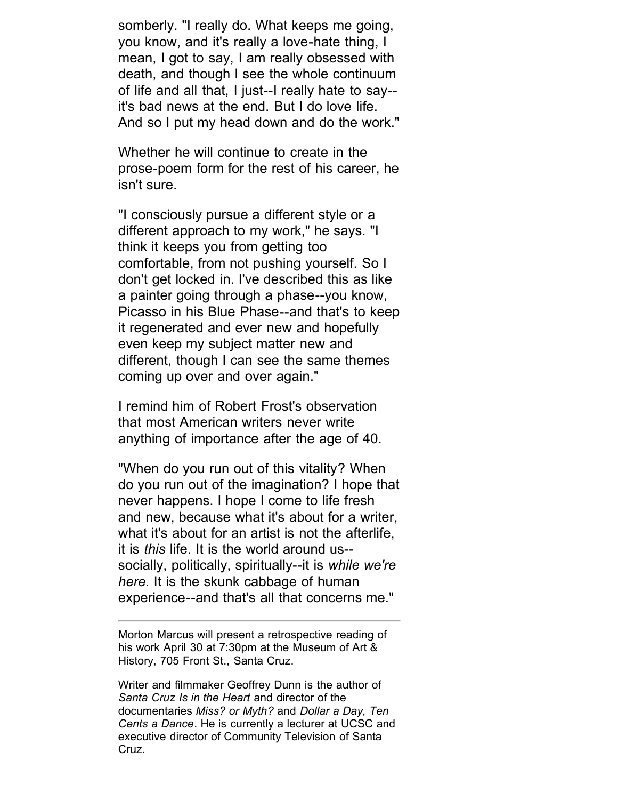somberly. "I really do. What keeps me going, you know, and it's really a love-hate thing, I mean, I got to say, I am really obsessed with death, and though I see the whole continuum of life and all that, I just--I really hate to say- it's bad news at the end. But I do love life. And so I put my head down and do the work."

Whether he will continue to create in the prose-poem form for the rest of his career, he isn't sure.

"I consciously pursue a different style or a different approach to my work," he says. "I think it keeps you from getting too comfortable, from not pushing yourself. So I don't get locked in. I've described this as like a painter going through a phase--you know, Picasso in his Blue Phase--and that's to keep it regenerated and ever new and hopefully even keep my subject matter new and different, though I can see the same themes coming up over and over again."

I remind him of Robert Frost's observation that most American writers never write anything of importance after the age of 40.

"When do you run out of this vitality? When do you run out of the imagination? I hope that never happens. I hope I come to life fresh and new, because what it's about for a writer, what it's about for an artist is not the afterlife, it is *this* life. It is the world around us- socially, politically, spiritually--it is *while we're here.* It is the skunk cabbage of human experience--and that's all that concerns me."

Morton Marcus will present a retrospective reading of his work April 30 at 7:30pm at the Museum of Art & History, 705 Front St., Santa Cruz.

Writer and filmmaker Geoffrey Dunn is the author of *Santa Cruz Is in the Heart* and director of the documentaries *Miss? or Myth?* and *Dollar a Day, Ten Cents a Dance*. He is currently a lecturer at UCSC and executive director of Community Television of Santa Cruz.